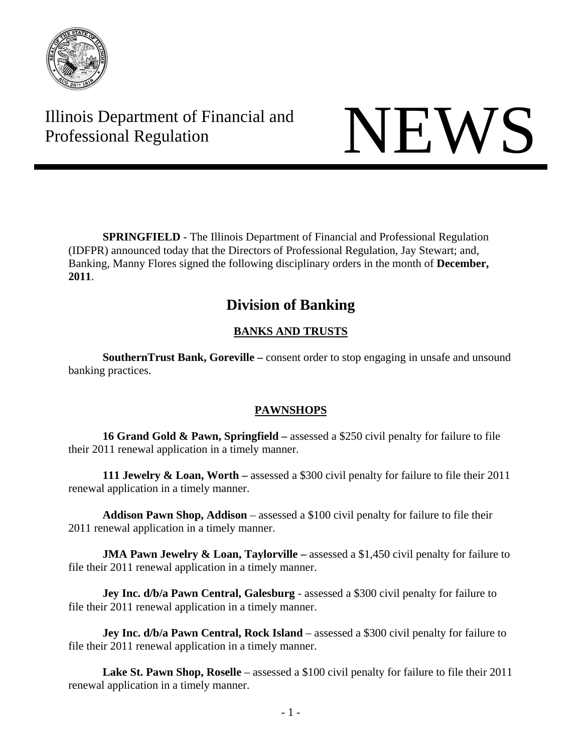

Illinois Department of Financial and Illinois Department of Financial and<br>Professional Regulation

**SPRINGFIELD** - The Illinois Department of Financial and Professional Regulation (IDFPR) announced today that the Directors of Professional Regulation, Jay Stewart; and, Banking, Manny Flores signed the following disciplinary orders in the month of **December, 2011**.

# **Division of Banking**

# **BANKS AND TRUSTS**

**SouthernTrust Bank, Goreville –** consent order to stop engaging in unsafe and unsound banking practices.

# **PAWNSHOPS**

**16 Grand Gold & Pawn, Springfield –** assessed a \$250 civil penalty for failure to file their 2011 renewal application in a timely manner.

**111 Jewelry & Loan, Worth –** assessed a \$300 civil penalty for failure to file their 2011 renewal application in a timely manner.

**Addison Pawn Shop, Addison** – assessed a \$100 civil penalty for failure to file their 2011 renewal application in a timely manner.

**JMA Pawn Jewelry & Loan, Taylorville** – assessed a \$1,450 civil penalty for failure to file their 2011 renewal application in a timely manner.

**Jey Inc. d/b/a Pawn Central, Galesburg** - assessed a \$300 civil penalty for failure to file their 2011 renewal application in a timely manner.

**Jey Inc. d/b/a Pawn Central, Rock Island** – assessed a \$300 civil penalty for failure to file their 2011 renewal application in a timely manner.

Lake St. Pawn Shop, Roselle – assessed a \$100 civil penalty for failure to file their 2011 renewal application in a timely manner.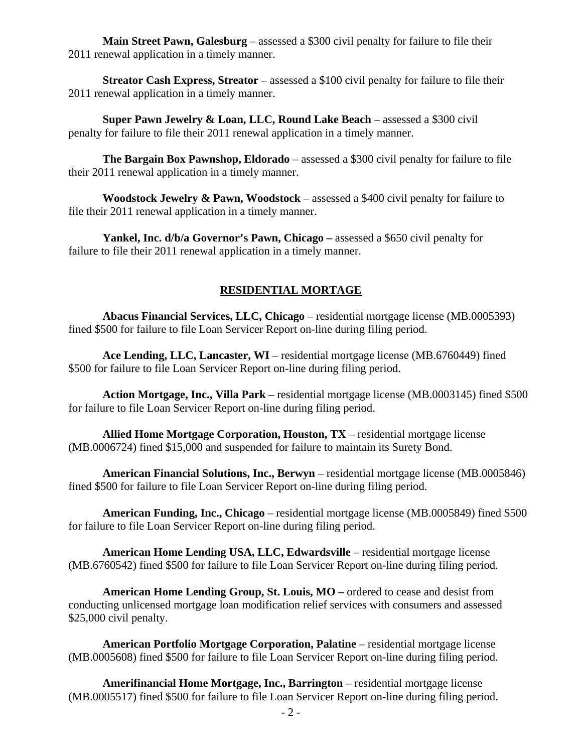**Main Street Pawn, Galesburg** – assessed a \$300 civil penalty for failure to file their 2011 renewal application in a timely manner.

**Streator Cash Express, Streator** – assessed a \$100 civil penalty for failure to file their 2011 renewal application in a timely manner.

**Super Pawn Jewelry & Loan, LLC, Round Lake Beach** – assessed a \$300 civil penalty for failure to file their 2011 renewal application in a timely manner.

**The Bargain Box Pawnshop, Eldorado** – assessed a \$300 civil penalty for failure to file their 2011 renewal application in a timely manner.

**Woodstock Jewelry & Pawn, Woodstock** – assessed a \$400 civil penalty for failure to file their 2011 renewal application in a timely manner.

**Yankel, Inc. d/b/a Governor's Pawn, Chicago** – assessed a \$650 civil penalty for failure to file their 2011 renewal application in a timely manner.

## **RESIDENTIAL MORTAGE**

**Abacus Financial Services, LLC, Chicago** – residential mortgage license (MB.0005393) fined \$500 for failure to file Loan Servicer Report on-line during filing period.

**Ace Lending, LLC, Lancaster, WI** – residential mortgage license (MB.6760449) fined \$500 for failure to file Loan Servicer Report on-line during filing period.

**Action Mortgage, Inc., Villa Park** – residential mortgage license (MB.0003145) fined \$500 for failure to file Loan Servicer Report on-line during filing period.

**Allied Home Mortgage Corporation, Houston, TX** – residential mortgage license (MB.0006724) fined \$15,000 and suspended for failure to maintain its Surety Bond.

**American Financial Solutions, Inc., Berwyn** – residential mortgage license (MB.0005846) fined \$500 for failure to file Loan Servicer Report on-line during filing period.

**American Funding, Inc., Chicago** – residential mortgage license (MB.0005849) fined \$500 for failure to file Loan Servicer Report on-line during filing period.

**American Home Lending USA, LLC, Edwardsville** – residential mortgage license (MB.6760542) fined \$500 for failure to file Loan Servicer Report on-line during filing period.

**American Home Lending Group, St. Louis, MO** – ordered to cease and desist from conducting unlicensed mortgage loan modification relief services with consumers and assessed \$25,000 civil penalty.

**American Portfolio Mortgage Corporation, Palatine** – residential mortgage license (MB.0005608) fined \$500 for failure to file Loan Servicer Report on-line during filing period.

Amerifinancial Home Mortgage, Inc., Barrington – residential mortgage license (MB.0005517) fined \$500 for failure to file Loan Servicer Report on-line during filing period.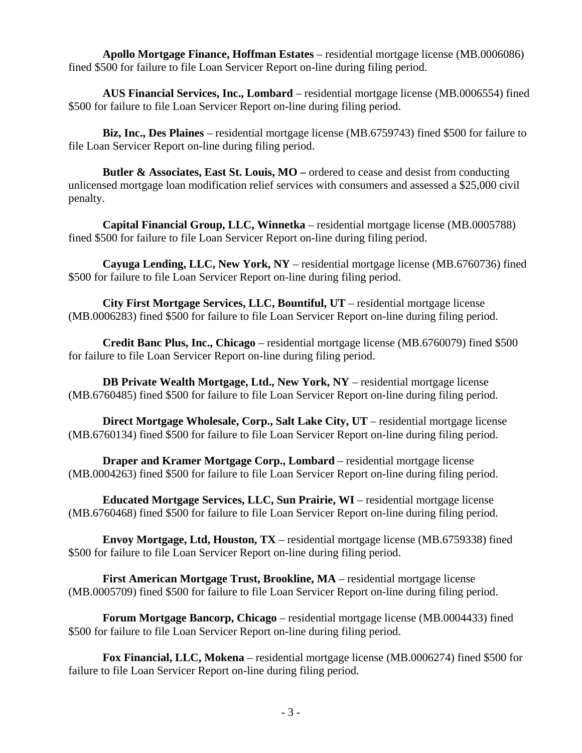**Apollo Mortgage Finance, Hoffman Estates** – residential mortgage license (MB.0006086) fined \$500 for failure to file Loan Servicer Report on-line during filing period.

**AUS Financial Services, Inc., Lombard** – residential mortgage license (MB.0006554) fined \$500 for failure to file Loan Servicer Report on-line during filing period.

**Biz, Inc., Des Plaines** – residential mortgage license (MB.6759743) fined \$500 for failure to file Loan Servicer Report on-line during filing period.

**Butler & Associates, East St. Louis, MO** – ordered to cease and desist from conducting unlicensed mortgage loan modification relief services with consumers and assessed a \$25,000 civil penalty.

**Capital Financial Group, LLC, Winnetka** – residential mortgage license (MB.0005788) fined \$500 for failure to file Loan Servicer Report on-line during filing period.

**Cayuga Lending, LLC, New York, NY** – residential mortgage license (MB.6760736) fined \$500 for failure to file Loan Servicer Report on-line during filing period.

**City First Mortgage Services, LLC, Bountiful, UT** – residential mortgage license (MB.0006283) fined \$500 for failure to file Loan Servicer Report on-line during filing period.

**Credit Banc Plus, Inc., Chicago** – residential mortgage license (MB.6760079) fined \$500 for failure to file Loan Servicer Report on-line during filing period.

**DB Private Wealth Mortgage, Ltd., New York, NY** – residential mortgage license (MB.6760485) fined \$500 for failure to file Loan Servicer Report on-line during filing period.

**Direct Mortgage Wholesale, Corp., Salt Lake City, UT** – residential mortgage license (MB.6760134) fined \$500 for failure to file Loan Servicer Report on-line during filing period.

**Draper and Kramer Mortgage Corp., Lombard** – residential mortgage license (MB.0004263) fined \$500 for failure to file Loan Servicer Report on-line during filing period.

**Educated Mortgage Services, LLC, Sun Prairie, WI** – residential mortgage license (MB.6760468) fined \$500 for failure to file Loan Servicer Report on-line during filing period.

**Envoy Mortgage, Ltd, Houston, TX** – residential mortgage license (MB.6759338) fined \$500 for failure to file Loan Servicer Report on-line during filing period.

**First American Mortgage Trust, Brookline, MA** – residential mortgage license (MB.0005709) fined \$500 for failure to file Loan Servicer Report on-line during filing period.

**Forum Mortgage Bancorp, Chicago** – residential mortgage license (MB.0004433) fined \$500 for failure to file Loan Servicer Report on-line during filing period.

**Fox Financial, LLC, Mokena** – residential mortgage license (MB.0006274) fined \$500 for failure to file Loan Servicer Report on-line during filing period.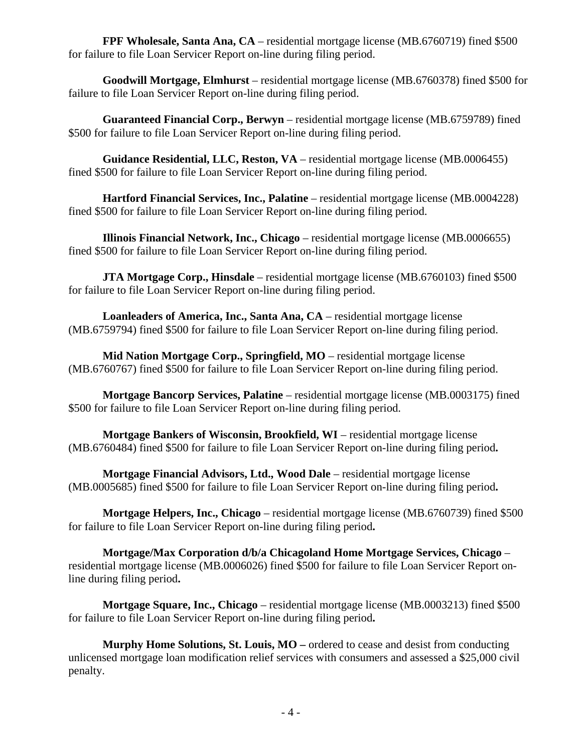**FPF Wholesale, Santa Ana, CA** – residential mortgage license (MB.6760719) fined \$500 for failure to file Loan Servicer Report on-line during filing period.

Goodwill Mortgage, Elmhurst – residential mortgage license (MB.6760378) fined \$500 for failure to file Loan Servicer Report on-line during filing period.

**Guaranteed Financial Corp., Berwyn** – residential mortgage license (MB.6759789) fined \$500 for failure to file Loan Servicer Report on-line during filing period.

**Guidance Residential, LLC, Reston, VA** – residential mortgage license (MB.0006455) fined \$500 for failure to file Loan Servicer Report on-line during filing period.

**Hartford Financial Services, Inc., Palatine** – residential mortgage license (MB.0004228) fined \$500 for failure to file Loan Servicer Report on-line during filing period.

**Illinois Financial Network, Inc., Chicago** – residential mortgage license (MB.0006655) fined \$500 for failure to file Loan Servicer Report on-line during filing period.

**JTA Mortgage Corp., Hinsdale** – residential mortgage license (MB.6760103) fined \$500 for failure to file Loan Servicer Report on-line during filing period.

**Loanleaders of America, Inc., Santa Ana, CA** – residential mortgage license (MB.6759794) fined \$500 for failure to file Loan Servicer Report on-line during filing period.

**Mid Nation Mortgage Corp., Springfield, MO** – residential mortgage license (MB.6760767) fined \$500 for failure to file Loan Servicer Report on-line during filing period.

**Mortgage Bancorp Services, Palatine** – residential mortgage license (MB.0003175) fined \$500 for failure to file Loan Servicer Report on-line during filing period.

**Mortgage Bankers of Wisconsin, Brookfield, WI** – residential mortgage license (MB.6760484) fined \$500 for failure to file Loan Servicer Report on-line during filing period**.** 

**Mortgage Financial Advisors, Ltd., Wood Dale** – residential mortgage license (MB.0005685) fined \$500 for failure to file Loan Servicer Report on-line during filing period**.** 

**Mortgage Helpers, Inc., Chicago** – residential mortgage license (MB.6760739) fined \$500 for failure to file Loan Servicer Report on-line during filing period**.** 

**Mortgage/Max Corporation d/b/a Chicagoland Home Mortgage Services, Chicago** – residential mortgage license (MB.0006026) fined \$500 for failure to file Loan Servicer Report online during filing period**.** 

**Mortgage Square, Inc., Chicago** – residential mortgage license (MB.0003213) fined \$500 for failure to file Loan Servicer Report on-line during filing period**.** 

**Murphy Home Solutions, St. Louis, MO –** ordered to cease and desist from conducting unlicensed mortgage loan modification relief services with consumers and assessed a \$25,000 civil penalty.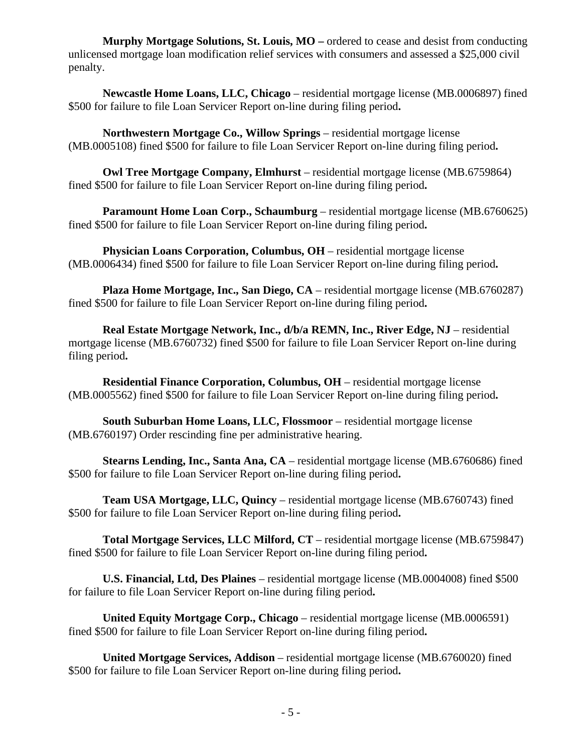**Murphy Mortgage Solutions, St. Louis, MO** – ordered to cease and desist from conducting unlicensed mortgage loan modification relief services with consumers and assessed a \$25,000 civil penalty.

**Newcastle Home Loans, LLC, Chicago** – residential mortgage license (MB.0006897) fined \$500 for failure to file Loan Servicer Report on-line during filing period**.** 

**Northwestern Mortgage Co., Willow Springs** – residential mortgage license (MB.0005108) fined \$500 for failure to file Loan Servicer Report on-line during filing period**.** 

**Owl Tree Mortgage Company, Elmhurst** – residential mortgage license (MB.6759864) fined \$500 for failure to file Loan Servicer Report on-line during filing period**.** 

**Paramount Home Loan Corp., Schaumburg** – residential mortgage license (MB.6760625) fined \$500 for failure to file Loan Servicer Report on-line during filing period**.** 

**Physician Loans Corporation, Columbus, OH** – residential mortgage license (MB.0006434) fined \$500 for failure to file Loan Servicer Report on-line during filing period**.** 

**Plaza Home Mortgage, Inc., San Diego, CA** – residential mortgage license (MB.6760287) fined \$500 for failure to file Loan Servicer Report on-line during filing period**.** 

**Real Estate Mortgage Network, Inc., d/b/a REMN, Inc., River Edge, NJ – residential** mortgage license (MB.6760732) fined \$500 for failure to file Loan Servicer Report on-line during filing period**.** 

**Residential Finance Corporation, Columbus, OH** – residential mortgage license (MB.0005562) fined \$500 for failure to file Loan Servicer Report on-line during filing period**.** 

**South Suburban Home Loans, LLC, Flossmoor** – residential mortgage license (MB.6760197) Order rescinding fine per administrative hearing.

**Stearns Lending, Inc., Santa Ana, CA** – residential mortgage license (MB.6760686) fined \$500 for failure to file Loan Servicer Report on-line during filing period**.** 

**Team USA Mortgage, LLC, Quincy** – residential mortgage license (MB.6760743) fined \$500 for failure to file Loan Servicer Report on-line during filing period**.** 

**Total Mortgage Services, LLC Milford, CT** – residential mortgage license (MB.6759847) fined \$500 for failure to file Loan Servicer Report on-line during filing period**.** 

**U.S. Financial, Ltd, Des Plaines** – residential mortgage license (MB.0004008) fined \$500 for failure to file Loan Servicer Report on-line during filing period**.** 

**United Equity Mortgage Corp., Chicago** – residential mortgage license (MB.0006591) fined \$500 for failure to file Loan Servicer Report on-line during filing period**.** 

**United Mortgage Services, Addison** – residential mortgage license (MB.6760020) fined \$500 for failure to file Loan Servicer Report on-line during filing period**.**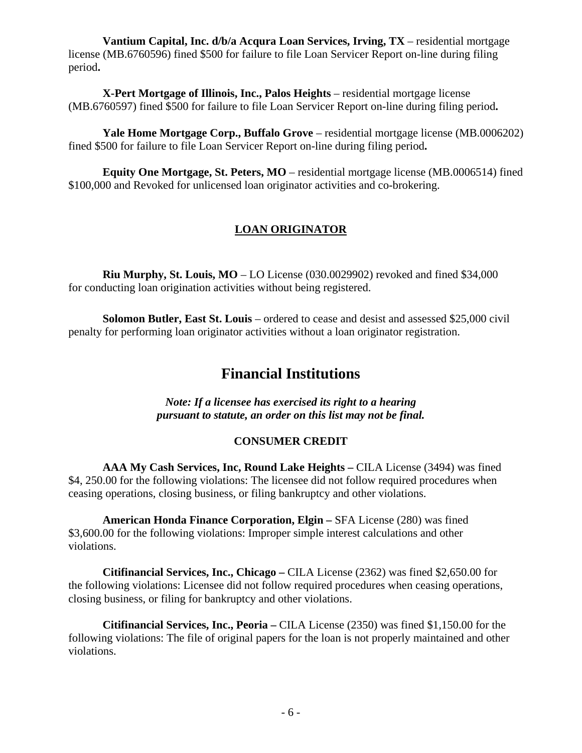**Vantium Capital, Inc. d/b/a Acqura Loan Services, Irving, TX** – residential mortgage license (MB.6760596) fined \$500 for failure to file Loan Servicer Report on-line during filing period**.** 

**X-Pert Mortgage of Illinois, Inc., Palos Heights** – residential mortgage license (MB.6760597) fined \$500 for failure to file Loan Servicer Report on-line during filing period**.** 

**Yale Home Mortgage Corp., Buffalo Grove** – residential mortgage license (MB.0006202) fined \$500 for failure to file Loan Servicer Report on-line during filing period**.** 

**Equity One Mortgage, St. Peters, MO** – residential mortgage license (MB.0006514) fined \$100,000 and Revoked for unlicensed loan originator activities and co-brokering.

## **LOAN ORIGINATOR**

**Riu Murphy, St. Louis, MO** – LO License (030.0029902) revoked and fined \$34,000 for conducting loan origination activities without being registered.

**Solomon Butler, East St. Louis** – ordered to cease and desist and assessed \$25,000 civil penalty for performing loan originator activities without a loan originator registration.

# **Financial Institutions**

*Note: If a licensee has exercised its right to a hearing pursuant to statute, an order on this list may not be final.* 

#### **CONSUMER CREDIT**

AAA My Cash Services, Inc, Round Lake Heights – CILA License (3494) was fined \$4, 250.00 for the following violations: The licensee did not follow required procedures when ceasing operations, closing business, or filing bankruptcy and other violations.

**American Honda Finance Corporation, Elgin –** SFA License (280) was fined \$3,600.00 for the following violations: Improper simple interest calculations and other violations.

**Citifinancial Services, Inc., Chicago –** CILA License (2362) was fined \$2,650.00 for the following violations: Licensee did not follow required procedures when ceasing operations, closing business, or filing for bankruptcy and other violations.

**Citifinancial Services, Inc., Peoria –** CILA License (2350) was fined \$1,150.00 for the following violations: The file of original papers for the loan is not properly maintained and other violations.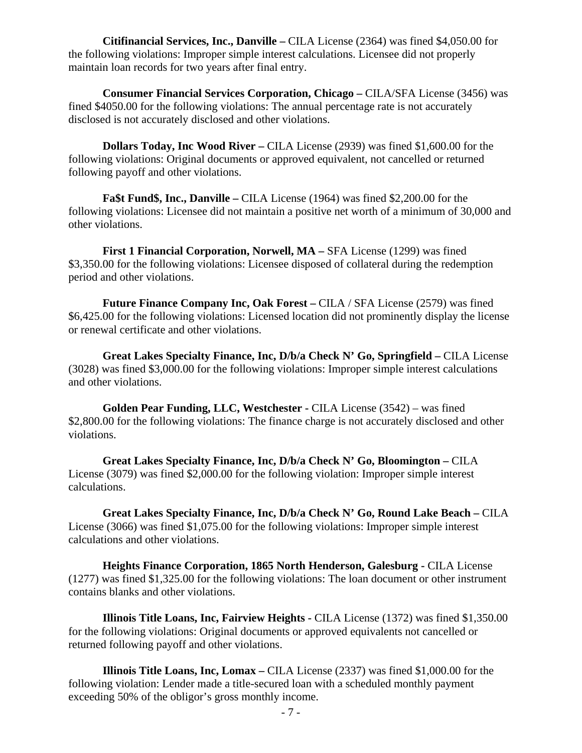**Citifinancial Services, Inc., Danville –** CILA License (2364) was fined \$4,050.00 for the following violations: Improper simple interest calculations. Licensee did not properly maintain loan records for two years after final entry.

**Consumer Financial Services Corporation, Chicago – CILA/SFA License (3456) was** fined \$4050.00 for the following violations: The annual percentage rate is not accurately disclosed is not accurately disclosed and other violations.

**Dollars Today, Inc Wood River –** CILA License (2939) was fined \$1,600.00 for the following violations: Original documents or approved equivalent, not cancelled or returned following payoff and other violations.

**Fa\$t Fund\$, Inc., Danville** – CILA License (1964) was fined \$2,200.00 for the following violations: Licensee did not maintain a positive net worth of a minimum of 30,000 and other violations.

**First 1 Financial Corporation, Norwell, MA –** SFA License (1299) was fined \$3,350.00 for the following violations: Licensee disposed of collateral during the redemption period and other violations.

**Future Finance Company Inc, Oak Forest – CILA / SFA License (2579) was fined** \$6,425.00 for the following violations: Licensed location did not prominently display the license or renewal certificate and other violations.

**Great Lakes Specialty Finance, Inc, D/b/a Check N' Go, Springfield –** CILA License (3028) was fined \$3,000.00 for the following violations: Improper simple interest calculations and other violations.

**Golden Pear Funding, LLC, Westchester - CILA License (3542) – was fined** \$2,800.00 for the following violations: The finance charge is not accurately disclosed and other violations.

**Great Lakes Specialty Finance, Inc, D/b/a Check N' Go, Bloomington –** CILA License (3079) was fined \$2,000.00 for the following violation: Improper simple interest calculations.

Great Lakes Specialty Finance, Inc, D/b/a Check N' Go, Round Lake Beach – CILA License (3066) was fined \$1,075.00 for the following violations: Improper simple interest calculations and other violations.

**Heights Finance Corporation, 1865 North Henderson, Galesburg - CILA License** (1277) was fined \$1,325.00 for the following violations: The loan document or other instrument contains blanks and other violations.

**Illinois Title Loans, Inc, Fairview Heights -** CILA License (1372) was fined \$1,350.00 for the following violations: Original documents or approved equivalents not cancelled or returned following payoff and other violations.

**Illinois Title Loans, Inc, Lomax –** CILA License (2337) was fined \$1,000.00 for the following violation: Lender made a title-secured loan with a scheduled monthly payment exceeding 50% of the obligor's gross monthly income.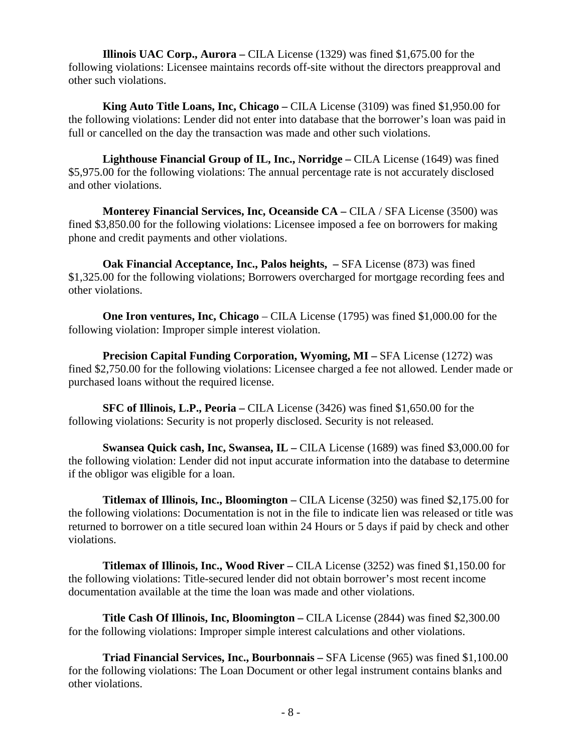**Illinois UAC Corp., Aurora –** CILA License (1329) was fined \$1,675.00 for the following violations: Licensee maintains records off-site without the directors preapproval and other such violations.

**King Auto Title Loans, Inc, Chicago** – CILA License (3109) was fined \$1,950.00 for the following violations: Lender did not enter into database that the borrower's loan was paid in full or cancelled on the day the transaction was made and other such violations.

**Lighthouse Financial Group of IL, Inc., Norridge – CILA License (1649) was fined** \$5,975.00 for the following violations: The annual percentage rate is not accurately disclosed and other violations.

**Monterey Financial Services, Inc, Oceanside CA – CILA / SFA License (3500) was** fined \$3,850.00 for the following violations: Licensee imposed a fee on borrowers for making phone and credit payments and other violations.

**Oak Financial Acceptance, Inc., Palos heights, –** SFA License (873) was fined \$1,325.00 for the following violations; Borrowers overcharged for mortgage recording fees and other violations.

**One Iron ventures, Inc, Chicago** – CILA License (1795) was fined \$1,000.00 for the following violation: Improper simple interest violation.

**Precision Capital Funding Corporation, Wyoming, MI – SFA License (1272) was** fined \$2,750.00 for the following violations: Licensee charged a fee not allowed. Lender made or purchased loans without the required license.

**SFC of Illinois, L.P., Peoria – CILA License** (3426) was fined \$1,650.00 for the following violations: Security is not properly disclosed. Security is not released.

**Swansea Quick cash, Inc, Swansea, IL** – CILA License (1689) was fined \$3,000.00 for the following violation: Lender did not input accurate information into the database to determine if the obligor was eligible for a loan.

**Titlemax of Illinois, Inc., Bloomington** – CILA License (3250) was fined \$2,175.00 for the following violations: Documentation is not in the file to indicate lien was released or title was returned to borrower on a title secured loan within 24 Hours or 5 days if paid by check and other violations.

**Titlemax of Illinois, Inc., Wood River – CILA License (3252) was fined \$1,150.00 for** the following violations: Title-secured lender did not obtain borrower's most recent income documentation available at the time the loan was made and other violations.

**Title Cash Of Illinois, Inc, Bloomington –** CILA License (2844) was fined \$2,300.00 for the following violations: Improper simple interest calculations and other violations.

**Triad Financial Services, Inc., Bourbonnais –** SFA License (965) was fined \$1,100.00 for the following violations: The Loan Document or other legal instrument contains blanks and other violations.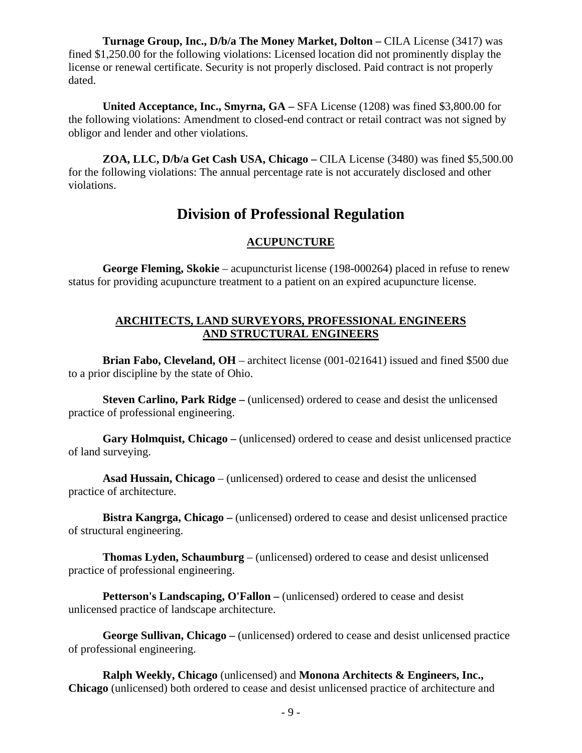**Turnage Group, Inc., D/b/a The Money Market, Dolton – CILA License (3417) was** fined \$1,250.00 for the following violations: Licensed location did not prominently display the license or renewal certificate. Security is not properly disclosed. Paid contract is not properly dated.

**United Acceptance, Inc., Smyrna, GA –** SFA License (1208) was fined \$3,800.00 for the following violations: Amendment to closed-end contract or retail contract was not signed by obligor and lender and other violations.

**ZOA, LLC, D/b/a Get Cash USA, Chicago –** CILA License (3480) was fined \$5,500.00 for the following violations: The annual percentage rate is not accurately disclosed and other violations.

# **Division of Professional Regulation**

### **ACUPUNCTURE**

 **George Fleming, Skokie** – acupuncturist license (198-000264) placed in refuse to renew status for providing acupuncture treatment to a patient on an expired acupuncture license.

#### **ARCHITECTS, LAND SURVEYORS, PROFESSIONAL ENGINEERS AND STRUCTURAL ENGINEERS**

**Brian Fabo, Cleveland, OH** – architect license (001-021641) issued and fined \$500 due to a prior discipline by the state of Ohio.

 **Steven Carlino, Park Ridge –** (unlicensed) ordered to cease and desist the unlicensed practice of professional engineering.

 **Gary Holmquist, Chicago –** (unlicensed) ordered to cease and desist unlicensed practice of land surveying.

 **Asad Hussain, Chicago** – (unlicensed) ordered to cease and desist the unlicensed practice of architecture.

 **Bistra Kangrga, Chicago –** (unlicensed) ordered to cease and desist unlicensed practice of structural engineering.

 **Thomas Lyden, Schaumburg** – (unlicensed) ordered to cease and desist unlicensed practice of professional engineering.

 **Petterson's Landscaping, O'Fallon –** (unlicensed) ordered to cease and desist unlicensed practice of landscape architecture.

 **George Sullivan, Chicago –** (unlicensed) ordered to cease and desist unlicensed practice of professional engineering.

 **Ralph Weekly, Chicago** (unlicensed) and **Monona Architects & Engineers, Inc., Chicago** (unlicensed) both ordered to cease and desist unlicensed practice of architecture and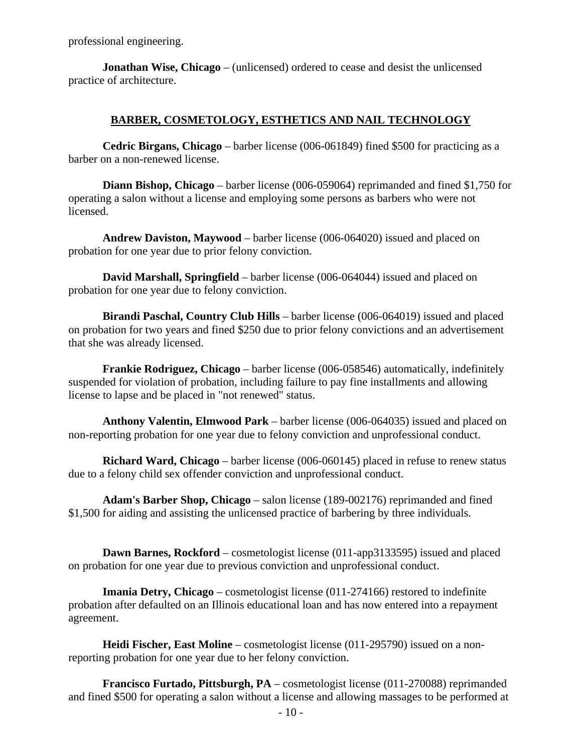professional engineering.

 **Jonathan Wise, Chicago** – (unlicensed) ordered to cease and desist the unlicensed practice of architecture.

#### **BARBER, COSMETOLOGY, ESTHETICS AND NAIL TECHNOLOGY**

 **Cedric Birgans, Chicago** – barber license (006-061849) fined \$500 for practicing as a barber on a non-renewed license.

 **Diann Bishop, Chicago** – barber license (006-059064) reprimanded and fined \$1,750 for operating a salon without a license and employing some persons as barbers who were not licensed.

 **Andrew Daviston, Maywood** – barber license (006-064020) issued and placed on probation for one year due to prior felony conviction.

 **David Marshall, Springfield** – barber license (006-064044) issued and placed on probation for one year due to felony conviction.

 **Birandi Paschal, Country Club Hills** – barber license (006-064019) issued and placed on probation for two years and fined \$250 due to prior felony convictions and an advertisement that she was already licensed.

 **Frankie Rodriguez, Chicago** – barber license (006-058546) automatically, indefinitely suspended for violation of probation, including failure to pay fine installments and allowing license to lapse and be placed in "not renewed" status.

 **Anthony Valentin, Elmwood Park** – barber license (006-064035) issued and placed on non-reporting probation for one year due to felony conviction and unprofessional conduct.

 **Richard Ward, Chicago** – barber license (006-060145) placed in refuse to renew status due to a felony child sex offender conviction and unprofessional conduct.

 **Adam's Barber Shop, Chicago** – salon license (189-002176) reprimanded and fined \$1,500 for aiding and assisting the unlicensed practice of barbering by three individuals.

**Dawn Barnes, Rockford** – cosmetologist license (011-app3133595) issued and placed on probation for one year due to previous conviction and unprofessional conduct.

 **Imania Detry, Chicago** – cosmetologist license (011-274166) restored to indefinite probation after defaulted on an Illinois educational loan and has now entered into a repayment agreement.

 **Heidi Fischer, East Moline** – cosmetologist license (011-295790) issued on a nonreporting probation for one year due to her felony conviction.

 **Francisco Furtado, Pittsburgh, PA** – cosmetologist license (011-270088) reprimanded and fined \$500 for operating a salon without a license and allowing massages to be performed at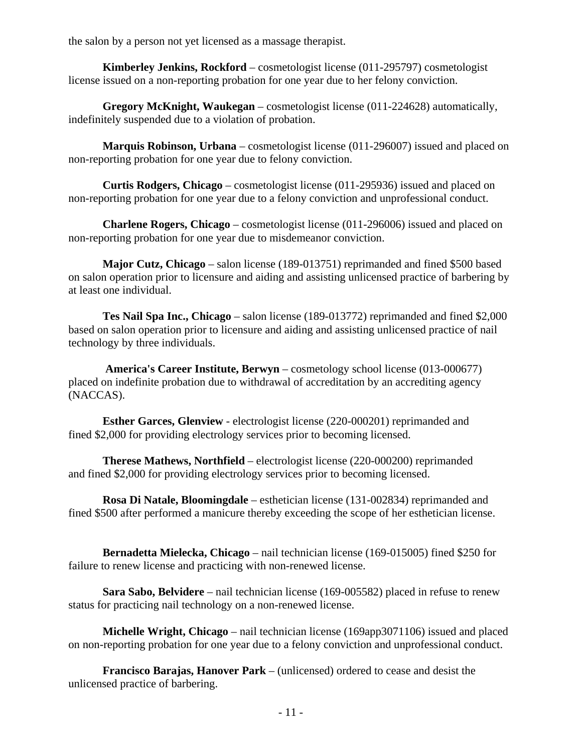the salon by a person not yet licensed as a massage therapist.

 **Kimberley Jenkins, Rockford** – cosmetologist license (011-295797) cosmetologist license issued on a non-reporting probation for one year due to her felony conviction.

 **Gregory McKnight, Waukegan** – cosmetologist license (011-224628) automatically, indefinitely suspended due to a violation of probation.

 **Marquis Robinson, Urbana** – cosmetologist license (011-296007) issued and placed on non-reporting probation for one year due to felony conviction.

 **Curtis Rodgers, Chicago** – cosmetologist license (011-295936) issued and placed on non-reporting probation for one year due to a felony conviction and unprofessional conduct.

 **Charlene Rogers, Chicago** – cosmetologist license (011-296006) issued and placed on non-reporting probation for one year due to misdemeanor conviction.

 **Major Cutz, Chicago** – salon license (189-013751) reprimanded and fined \$500 based on salon operation prior to licensure and aiding and assisting unlicensed practice of barbering by at least one individual.

 **Tes Nail Spa Inc., Chicago** – salon license (189-013772) reprimanded and fined \$2,000 based on salon operation prior to licensure and aiding and assisting unlicensed practice of nail technology by three individuals.

 **America's Career Institute, Berwyn** – cosmetology school license (013-000677) placed on indefinite probation due to withdrawal of accreditation by an accrediting agency (NACCAS).

 **Esther Garces, Glenview** - electrologist license (220-000201) reprimanded and fined \$2,000 for providing electrology services prior to becoming licensed.

 **Therese Mathews, Northfield** – electrologist license (220-000200) reprimanded and fined \$2,000 for providing electrology services prior to becoming licensed.

 **Rosa Di Natale, Bloomingdale** – esthetician license (131-002834) reprimanded and fined \$500 after performed a manicure thereby exceeding the scope of her esthetician license.

 **Bernadetta Mielecka, Chicago** – nail technician license (169-015005) fined \$250 for failure to renew license and practicing with non-renewed license.

 **Sara Sabo, Belvidere** – nail technician license (169-005582) placed in refuse to renew status for practicing nail technology on a non-renewed license.

 **Michelle Wright, Chicago** – nail technician license (169app3071106) issued and placed on non-reporting probation for one year due to a felony conviction and unprofessional conduct.

 **Francisco Barajas, Hanover Park** – (unlicensed) ordered to cease and desist the unlicensed practice of barbering.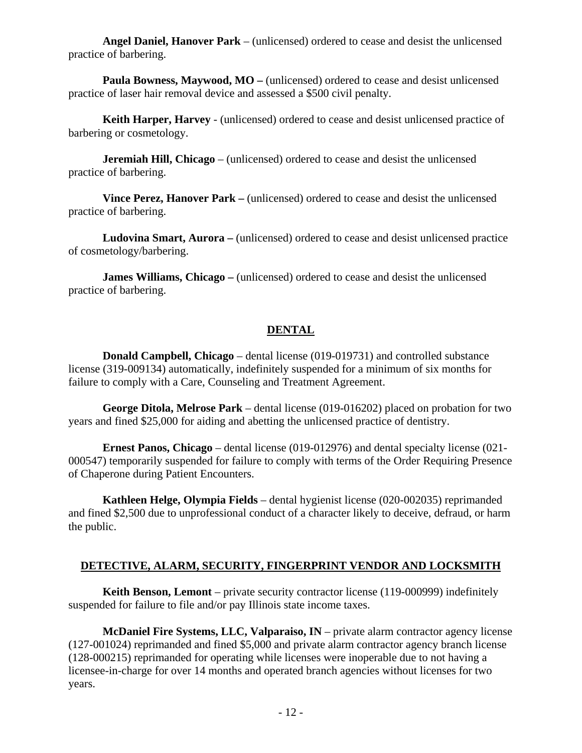**Angel Daniel, Hanover Park** – (unlicensed) ordered to cease and desist the unlicensed practice of barbering.

 **Paula Bowness, Maywood, MO –** (unlicensed) ordered to cease and desist unlicensed practice of laser hair removal device and assessed a \$500 civil penalty.

 **Keith Harper, Harvey** - (unlicensed) ordered to cease and desist unlicensed practice of barbering or cosmetology.

 **Jeremiah Hill, Chicago** – (unlicensed) ordered to cease and desist the unlicensed practice of barbering.

 **Vince Perez, Hanover Park –** (unlicensed) ordered to cease and desist the unlicensed practice of barbering.

 **Ludovina Smart, Aurora –** (unlicensed) ordered to cease and desist unlicensed practice of cosmetology/barbering.

 **James Williams, Chicago –** (unlicensed) ordered to cease and desist the unlicensed practice of barbering.

#### **DENTAL**

 **Donald Campbell, Chicago** – dental license (019-019731) and controlled substance license (319-009134) automatically, indefinitely suspended for a minimum of six months for failure to comply with a Care, Counseling and Treatment Agreement.

 **George Ditola, Melrose Park** – dental license (019-016202) placed on probation for two years and fined \$25,000 for aiding and abetting the unlicensed practice of dentistry.

 **Ernest Panos, Chicago** – dental license (019-012976) and dental specialty license (021- 000547) temporarily suspended for failure to comply with terms of the Order Requiring Presence of Chaperone during Patient Encounters.

 **Kathleen Helge, Olympia Fields** – dental hygienist license (020-002035) reprimanded and fined \$2,500 due to unprofessional conduct of a character likely to deceive, defraud, or harm the public.

#### **DETECTIVE, ALARM, SECURITY, FINGERPRINT VENDOR AND LOCKSMITH**

**Keith Benson, Lemont** – private security contractor license (119-000999) indefinitely suspended for failure to file and/or pay Illinois state income taxes.

 **McDaniel Fire Systems, LLC, Valparaiso, IN** – private alarm contractor agency license (127-001024) reprimanded and fined \$5,000 and private alarm contractor agency branch license (128-000215) reprimanded for operating while licenses were inoperable due to not having a licensee-in-charge for over 14 months and operated branch agencies without licenses for two years.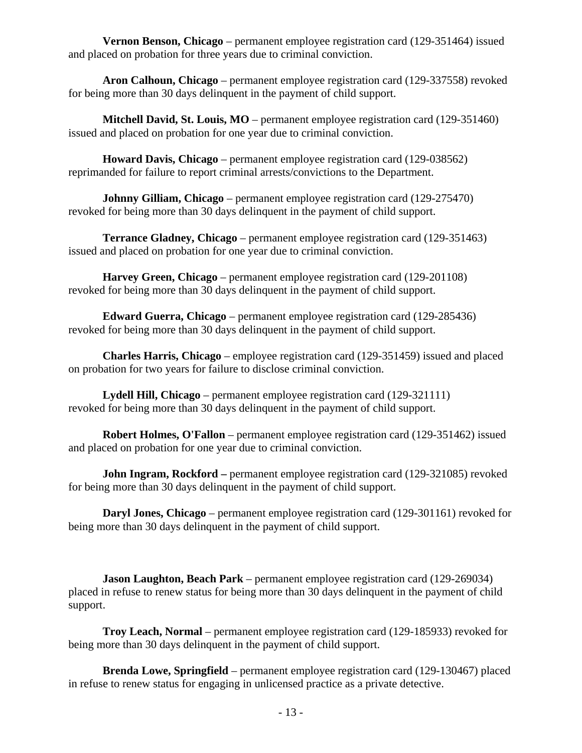**Vernon Benson, Chicago** – permanent employee registration card (129-351464) issued and placed on probation for three years due to criminal conviction.

 **Aron Calhoun, Chicago** – permanent employee registration card (129-337558) revoked for being more than 30 days delinquent in the payment of child support.

 **Mitchell David, St. Louis, MO** – permanent employee registration card (129-351460) issued and placed on probation for one year due to criminal conviction.

 **Howard Davis, Chicago** – permanent employee registration card (129-038562) reprimanded for failure to report criminal arrests/convictions to the Department.

**Johnny Gilliam, Chicago** – permanent employee registration card (129-275470) revoked for being more than 30 days delinquent in the payment of child support.

 **Terrance Gladney, Chicago** – permanent employee registration card (129-351463) issued and placed on probation for one year due to criminal conviction.

 **Harvey Green, Chicago** – permanent employee registration card (129-201108) revoked for being more than 30 days delinquent in the payment of child support.

 **Edward Guerra, Chicago** – permanent employee registration card (129-285436) revoked for being more than 30 days delinquent in the payment of child support.

 **Charles Harris, Chicago** – employee registration card (129-351459) issued and placed on probation for two years for failure to disclose criminal conviction.

 **Lydell Hill, Chicago** – permanent employee registration card (129-321111) revoked for being more than 30 days delinquent in the payment of child support.

 **Robert Holmes, O'Fallon** – permanent employee registration card (129-351462) issued and placed on probation for one year due to criminal conviction.

**John Ingram, Rockford** – permanent employee registration card (129-321085) revoked for being more than 30 days delinquent in the payment of child support.

 **Daryl Jones, Chicago** – permanent employee registration card (129-301161) revoked for being more than 30 days delinquent in the payment of child support.

 **Jason Laughton, Beach Park** – permanent employee registration card (129-269034) placed in refuse to renew status for being more than 30 days delinquent in the payment of child support.

 **Troy Leach, Normal** – permanent employee registration card (129-185933) revoked for being more than 30 days delinquent in the payment of child support.

 **Brenda Lowe, Springfield** – permanent employee registration card (129-130467) placed in refuse to renew status for engaging in unlicensed practice as a private detective.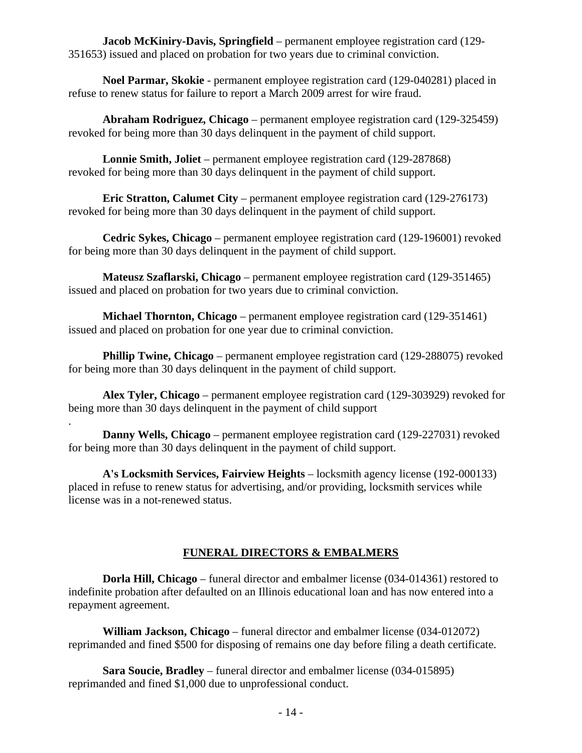**Jacob McKiniry-Davis, Springfield** – permanent employee registration card (129- 351653) issued and placed on probation for two years due to criminal conviction.

 **Noel Parmar, Skokie** - permanent employee registration card (129-040281) placed in refuse to renew status for failure to report a March 2009 arrest for wire fraud.

 **Abraham Rodriguez, Chicago** – permanent employee registration card (129-325459) revoked for being more than 30 days delinquent in the payment of child support.

 **Lonnie Smith, Joliet** – permanent employee registration card (129-287868) revoked for being more than 30 days delinquent in the payment of child support.

 **Eric Stratton, Calumet City** – permanent employee registration card (129-276173) revoked for being more than 30 days delinquent in the payment of child support.

 **Cedric Sykes, Chicago** – permanent employee registration card (129-196001) revoked for being more than 30 days delinquent in the payment of child support.

 **Mateusz Szaflarski, Chicago** – permanent employee registration card (129-351465) issued and placed on probation for two years due to criminal conviction.

 **Michael Thornton, Chicago** – permanent employee registration card (129-351461) issued and placed on probation for one year due to criminal conviction.

**Phillip Twine, Chicago** – permanent employee registration card (129-288075) revoked for being more than 30 days delinquent in the payment of child support.

 **Alex Tyler, Chicago** – permanent employee registration card (129-303929) revoked for being more than 30 days delinquent in the payment of child support

. **Danny Wells, Chicago** – permanent employee registration card (129-227031) revoked for being more than 30 days delinquent in the payment of child support.

 **A's Locksmith Services, Fairview Heights** – locksmith agency license (192-000133) placed in refuse to renew status for advertising, and/or providing, locksmith services while license was in a not-renewed status.

## **FUNERAL DIRECTORS & EMBALMERS**

 **Dorla Hill, Chicago** – funeral director and embalmer license (034-014361) restored to indefinite probation after defaulted on an Illinois educational loan and has now entered into a repayment agreement.

 **William Jackson, Chicago** – funeral director and embalmer license (034-012072) reprimanded and fined \$500 for disposing of remains one day before filing a death certificate.

 **Sara Soucie, Bradley** – funeral director and embalmer license (034-015895) reprimanded and fined \$1,000 due to unprofessional conduct.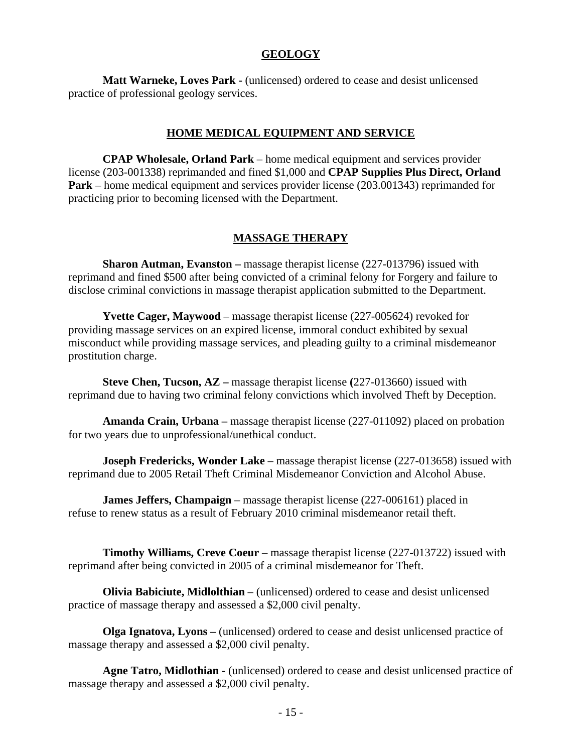#### **GEOLOGY**

 **Matt Warneke, Loves Park -** (unlicensed) ordered to cease and desist unlicensed practice of professional geology services.

#### **HOME MEDICAL EQUIPMENT AND SERVICE**

 **CPAP Wholesale, Orland Park** – home medical equipment and services provider license (203-001338) reprimanded and fined \$1,000 and **CPAP Supplies Plus Direct, Orland Park** – home medical equipment and services provider license (203.001343) reprimanded for practicing prior to becoming licensed with the Department.

#### **MASSAGE THERAPY**

 **Sharon Autman, Evanston –** massage therapist license (227-013796) issued with reprimand and fined \$500 after being convicted of a criminal felony for Forgery and failure to disclose criminal convictions in massage therapist application submitted to the Department.

 **Yvette Cager, Maywood** – massage therapist license (227-005624) revoked for providing massage services on an expired license, immoral conduct exhibited by sexual misconduct while providing massage services, and pleading guilty to a criminal misdemeanor prostitution charge.

 **Steve Chen, Tucson, AZ –** massage therapist license **(**227-013660) issued with reprimand due to having two criminal felony convictions which involved Theft by Deception.

 **Amanda Crain, Urbana –** massage therapist license (227-011092) placed on probation for two years due to unprofessional/unethical conduct.

**Joseph Fredericks, Wonder Lake** – massage therapist license (227-013658) issued with reprimand due to 2005 Retail Theft Criminal Misdemeanor Conviction and Alcohol Abuse.

 **James Jeffers, Champaign** – massage therapist license (227-006161) placed in refuse to renew status as a result of February 2010 criminal misdemeanor retail theft.

 **Timothy Williams, Creve Coeur** – massage therapist license (227-013722) issued with reprimand after being convicted in 2005 of a criminal misdemeanor for Theft.

 **Olivia Babiciute, Midlolthian** – (unlicensed) ordered to cease and desist unlicensed practice of massage therapy and assessed a \$2,000 civil penalty.

 **Olga Ignatova, Lyons –** (unlicensed) ordered to cease and desist unlicensed practice of massage therapy and assessed a \$2,000 civil penalty.

 **Agne Tatro, Midlothian -** (unlicensed) ordered to cease and desist unlicensed practice of massage therapy and assessed a \$2,000 civil penalty.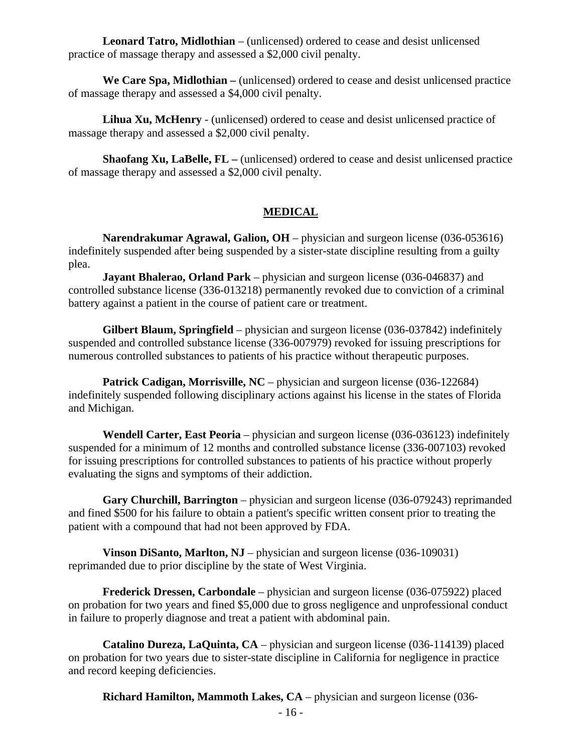**Leonard Tatro, Midlothian** – (unlicensed) ordered to cease and desist unlicensed practice of massage therapy and assessed a \$2,000 civil penalty.

 **We Care Spa, Midlothian –** (unlicensed) ordered to cease and desist unlicensed practice of massage therapy and assessed a \$4,000 civil penalty.

 **Lihua Xu, McHenry** - (unlicensed) ordered to cease and desist unlicensed practice of massage therapy and assessed a \$2,000 civil penalty.

 **Shaofang Xu, LaBelle, FL –** (unlicensed) ordered to cease and desist unlicensed practice of massage therapy and assessed a \$2,000 civil penalty.

#### **MEDICAL**

 **Narendrakumar Agrawal, Galion, OH** – physician and surgeon license (036-053616) indefinitely suspended after being suspended by a sister-state discipline resulting from a guilty plea.

**Jayant Bhalerao, Orland Park** – physician and surgeon license (036-046837) and controlled substance license (336-013218) permanently revoked due to conviction of a criminal battery against a patient in the course of patient care or treatment.

 **Gilbert Blaum, Springfield** – physician and surgeon license (036-037842) indefinitely suspended and controlled substance license (336-007979) revoked for issuing prescriptions for numerous controlled substances to patients of his practice without therapeutic purposes.

**Patrick Cadigan, Morrisville, NC** – physician and surgeon license (036-122684) indefinitely suspended following disciplinary actions against his license in the states of Florida and Michigan.

 **Wendell Carter, East Peoria** – physician and surgeon license (036-036123) indefinitely suspended for a minimum of 12 months and controlled substance license (336-007103) revoked for issuing prescriptions for controlled substances to patients of his practice without properly evaluating the signs and symptoms of their addiction.

 **Gary Churchill, Barrington** – physician and surgeon license (036-079243) reprimanded and fined \$500 for his failure to obtain a patient's specific written consent prior to treating the patient with a compound that had not been approved by FDA.

**Vinson DiSanto, Marlton, NJ** – physician and surgeon license (036-109031) reprimanded due to prior discipline by the state of West Virginia.

 **Frederick Dressen, Carbondale** – physician and surgeon license (036-075922) placed on probation for two years and fined \$5,000 due to gross negligence and unprofessional conduct in failure to properly diagnose and treat a patient with abdominal pain.

 **Catalino Dureza, LaQuinta, CA** – physician and surgeon license (036-114139) placed on probation for two years due to sister-state discipline in California for negligence in practice and record keeping deficiencies.

**Richard Hamilton, Mammoth Lakes, CA** – physician and surgeon license (036-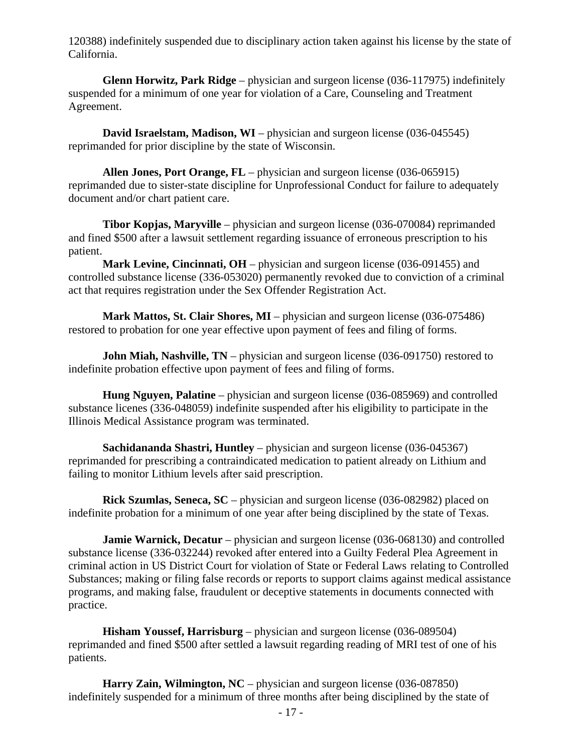120388) indefinitely suspended due to disciplinary action taken against his license by the state of California.

 **Glenn Horwitz, Park Ridge** – physician and surgeon license (036-117975) indefinitely suspended for a minimum of one year for violation of a Care, Counseling and Treatment Agreement.

**David Israelstam, Madison, WI** – physician and surgeon license (036-045545) reprimanded for prior discipline by the state of Wisconsin.

 **Allen Jones, Port Orange, FL** – physician and surgeon license (036-065915) reprimanded due to sister-state discipline for Unprofessional Conduct for failure to adequately document and/or chart patient care.

 **Tibor Kopjas, Maryville** – physician and surgeon license (036-070084) reprimanded and fined \$500 after a lawsuit settlement regarding issuance of erroneous prescription to his patient.

 **Mark Levine, Cincinnati, OH** – physician and surgeon license (036-091455) and controlled substance license (336-053020) permanently revoked due to conviction of a criminal act that requires registration under the Sex Offender Registration Act.

 **Mark Mattos, St. Clair Shores, MI** – physician and surgeon license (036-075486) restored to probation for one year effective upon payment of fees and filing of forms.

**John Miah, Nashville, TN** – physician and surgeon license (036-091750) restored to indefinite probation effective upon payment of fees and filing of forms.

 **Hung Nguyen, Palatine** – physician and surgeon license (036-085969) and controlled substance licenes (336-048059) indefinite suspended after his eligibility to participate in the Illinois Medical Assistance program was terminated.

 **Sachidananda Shastri, Huntley** – physician and surgeon license (036-045367) reprimanded for prescribing a contraindicated medication to patient already on Lithium and failing to monitor Lithium levels after said prescription.

 **Rick Szumlas, Seneca, SC** – physician and surgeon license (036-082982) placed on indefinite probation for a minimum of one year after being disciplined by the state of Texas.

 **Jamie Warnick, Decatur** – physician and surgeon license (036-068130) and controlled substance license (336-032244) revoked after entered into a Guilty Federal Plea Agreement in criminal action in US District Court for violation of State or Federal Laws relating to Controlled Substances; making or filing false records or reports to support claims against medical assistance programs, and making false, fraudulent or deceptive statements in documents connected with practice.

 **Hisham Youssef, Harrisburg** – physician and surgeon license (036-089504) reprimanded and fined \$500 after settled a lawsuit regarding reading of MRI test of one of his patients.

**Harry Zain, Wilmington, NC** – physician and surgeon license (036-087850) indefinitely suspended for a minimum of three months after being disciplined by the state of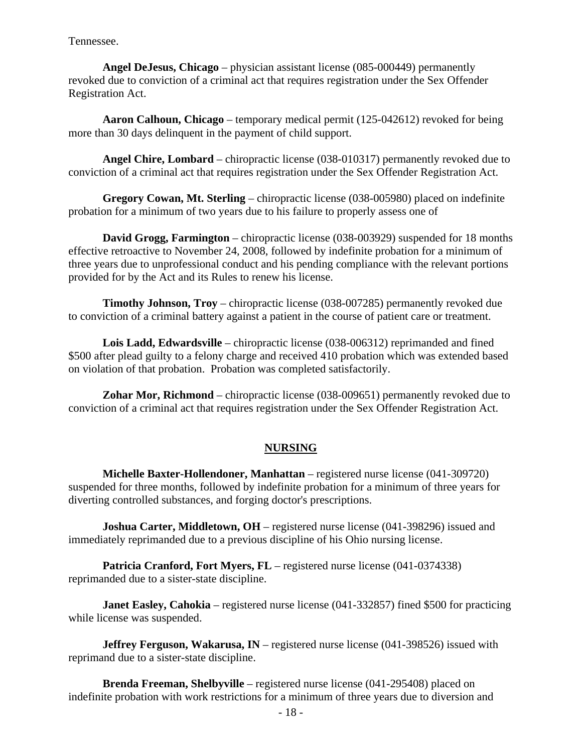Tennessee.

 **Angel DeJesus, Chicago** – physician assistant license (085-000449) permanently revoked due to conviction of a criminal act that requires registration under the Sex Offender Registration Act.

 **Aaron Calhoun, Chicago** – temporary medical permit (125-042612) revoked for being more than 30 days delinquent in the payment of child support.

 **Angel Chire, Lombard** – chiropractic license (038-010317) permanently revoked due to conviction of a criminal act that requires registration under the Sex Offender Registration Act.

 **Gregory Cowan, Mt. Sterling** – chiropractic license (038-005980) placed on indefinite probation for a minimum of two years due to his failure to properly assess one of

 **David Grogg, Farmington** – chiropractic license (038-003929) suspended for 18 months effective retroactive to November 24, 2008, followed by indefinite probation for a minimum of three years due to unprofessional conduct and his pending compliance with the relevant portions provided for by the Act and its Rules to renew his license.

 **Timothy Johnson, Troy** – chiropractic license (038-007285) permanently revoked due to conviction of a criminal battery against a patient in the course of patient care or treatment.

 **Lois Ladd, Edwardsville** – chiropractic license (038-006312) reprimanded and fined \$500 after plead guilty to a felony charge and received 410 probation which was extended based on violation of that probation. Probation was completed satisfactorily.

 **Zohar Mor, Richmond** – chiropractic license (038-009651) permanently revoked due to conviction of a criminal act that requires registration under the Sex Offender Registration Act.

#### **NURSING**

 **Michelle Baxter-Hollendoner, Manhattan** – registered nurse license (041-309720) suspended for three months, followed by indefinite probation for a minimum of three years for diverting controlled substances, and forging doctor's prescriptions.

**Joshua Carter, Middletown, OH** – registered nurse license (041-398296) issued and immediately reprimanded due to a previous discipline of his Ohio nursing license.

**Patricia Cranford, Fort Myers, FL** – registered nurse license (041-0374338) reprimanded due to a sister-state discipline.

**Janet Easley, Cahokia** – registered nurse license (041-332857) fined \$500 for practicing while license was suspended.

**Jeffrey Ferguson, Wakarusa, IN** – registered nurse license (041-398526) issued with reprimand due to a sister-state discipline.

 **Brenda Freeman, Shelbyville** – registered nurse license (041-295408) placed on indefinite probation with work restrictions for a minimum of three years due to diversion and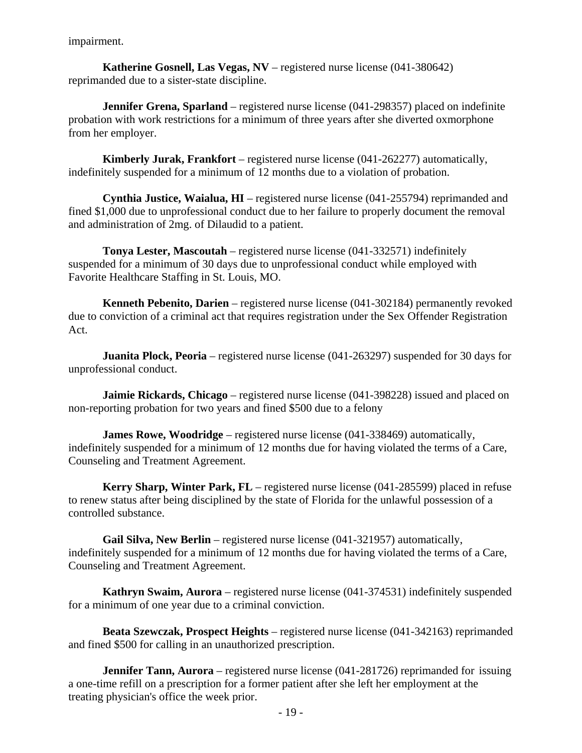impairment.

 **Katherine Gosnell, Las Vegas, NV** – registered nurse license (041-380642) reprimanded due to a sister-state discipline.

**Jennifer Grena, Sparland** – registered nurse license (041-298357) placed on indefinite probation with work restrictions for a minimum of three years after she diverted oxmorphone from her employer.

 **Kimberly Jurak, Frankfort** – registered nurse license (041-262277) automatically, indefinitely suspended for a minimum of 12 months due to a violation of probation.

 **Cynthia Justice, Waialua, HI** – registered nurse license (041-255794) reprimanded and fined \$1,000 due to unprofessional conduct due to her failure to properly document the removal and administration of 2mg. of Dilaudid to a patient.

 **Tonya Lester, Mascoutah** – registered nurse license (041-332571) indefinitely suspended for a minimum of 30 days due to unprofessional conduct while employed with Favorite Healthcare Staffing in St. Louis, MO.

 **Kenneth Pebenito, Darien** – registered nurse license (041-302184) permanently revoked due to conviction of a criminal act that requires registration under the Sex Offender Registration Act.

**Juanita Plock, Peoria** – registered nurse license (041-263297) suspended for 30 days for unprofessional conduct.

**Jaimie Rickards, Chicago** – registered nurse license (041-398228) issued and placed on non-reporting probation for two years and fined \$500 due to a felony

 **James Rowe, Woodridge** – registered nurse license (041-338469) automatically, indefinitely suspended for a minimum of 12 months due for having violated the terms of a Care, Counseling and Treatment Agreement.

 **Kerry Sharp, Winter Park, FL** – registered nurse license (041-285599) placed in refuse to renew status after being disciplined by the state of Florida for the unlawful possession of a controlled substance.

 **Gail Silva, New Berlin** – registered nurse license (041-321957) automatically, indefinitely suspended for a minimum of 12 months due for having violated the terms of a Care, Counseling and Treatment Agreement.

 **Kathryn Swaim, Aurora** – registered nurse license (041-374531) indefinitely suspended for a minimum of one year due to a criminal conviction.

 **Beata Szewczak, Prospect Heights** – registered nurse license (041-342163) reprimanded and fined \$500 for calling in an unauthorized prescription.

**Jennifer Tann, Aurora** – registered nurse license (041-281726) reprimanded for issuing a one-time refill on a prescription for a former patient after she left her employment at the treating physician's office the week prior.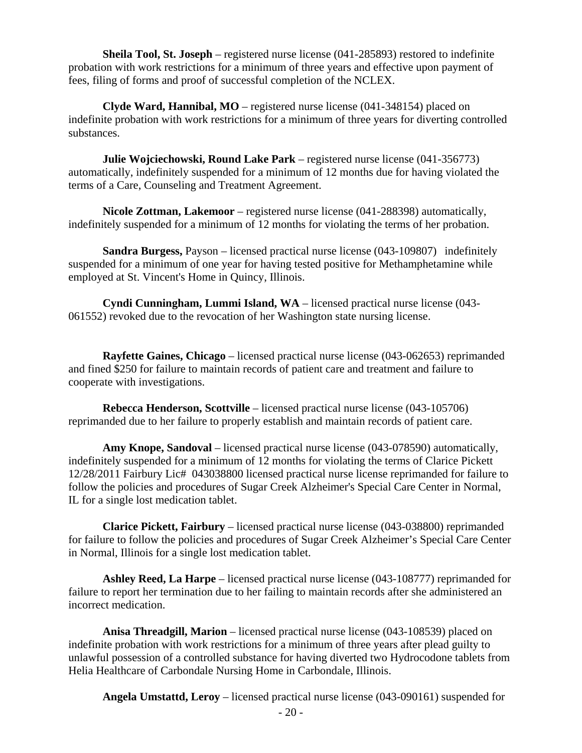**Sheila Tool, St. Joseph** – registered nurse license (041-285893) restored to indefinite probation with work restrictions for a minimum of three years and effective upon payment of fees, filing of forms and proof of successful completion of the NCLEX.

 **Clyde Ward, Hannibal, MO** – registered nurse license (041-348154) placed on indefinite probation with work restrictions for a minimum of three years for diverting controlled substances.

 **Julie Wojciechowski, Round Lake Park** – registered nurse license (041-356773) automatically, indefinitely suspended for a minimum of 12 months due for having violated the terms of a Care, Counseling and Treatment Agreement.

 **Nicole Zottman, Lakemoor** – registered nurse license (041-288398) automatically, indefinitely suspended for a minimum of 12 months for violating the terms of her probation.

 **Sandra Burgess,** Payson – licensed practical nurse license (043-109807) indefinitely suspended for a minimum of one year for having tested positive for Methamphetamine while employed at St. Vincent's Home in Quincy, Illinois.

 **Cyndi Cunningham, Lummi Island, WA** – licensed practical nurse license (043- 061552) revoked due to the revocation of her Washington state nursing license.

 **Rayfette Gaines, Chicago** – licensed practical nurse license (043-062653) reprimanded and fined \$250 for failure to maintain records of patient care and treatment and failure to cooperate with investigations.

 **Rebecca Henderson, Scottville** – licensed practical nurse license (043-105706) reprimanded due to her failure to properly establish and maintain records of patient care.

 **Amy Knope, Sandoval** – licensed practical nurse license (043-078590) automatically, indefinitely suspended for a minimum of 12 months for violating the terms of Clarice Pickett 12/28/2011 Fairbury Lic# 043038800 licensed practical nurse license reprimanded for failure to follow the policies and procedures of Sugar Creek Alzheimer's Special Care Center in Normal, IL for a single lost medication tablet.

 **Clarice Pickett, Fairbury** – licensed practical nurse license (043-038800) reprimanded for failure to follow the policies and procedures of Sugar Creek Alzheimer's Special Care Center in Normal, Illinois for a single lost medication tablet.

 **Ashley Reed, La Harpe** – licensed practical nurse license (043-108777) reprimanded for failure to report her termination due to her failing to maintain records after she administered an incorrect medication.

 **Anisa Threadgill, Marion** – licensed practical nurse license (043-108539) placed on indefinite probation with work restrictions for a minimum of three years after plead guilty to unlawful possession of a controlled substance for having diverted two Hydrocodone tablets from Helia Healthcare of Carbondale Nursing Home in Carbondale, Illinois.

**Angela Umstattd, Leroy** – licensed practical nurse license (043-090161) suspended for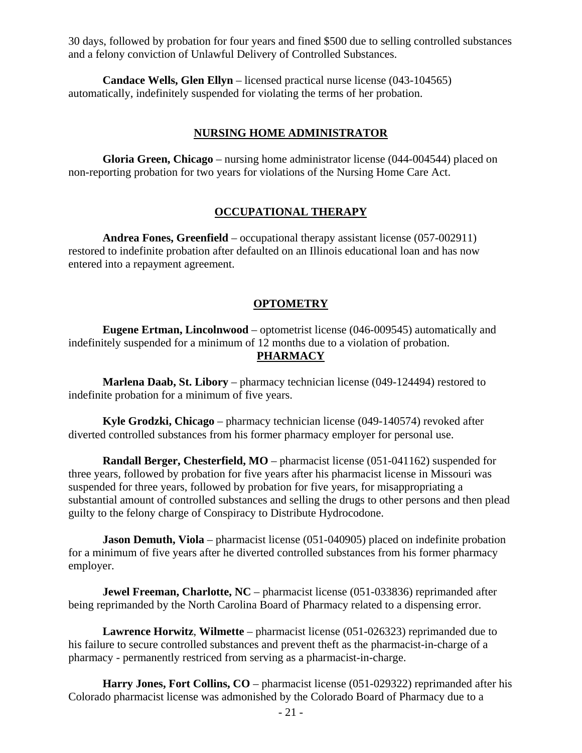30 days, followed by probation for four years and fined \$500 due to selling controlled substances and a felony conviction of Unlawful Delivery of Controlled Substances.

 **Candace Wells, Glen Ellyn** – licensed practical nurse license (043-104565) automatically, indefinitely suspended for violating the terms of her probation.

#### **NURSING HOME ADMINISTRATOR**

 **Gloria Green, Chicago** – nursing home administrator license (044-004544) placed on non-reporting probation for two years for violations of the Nursing Home Care Act.

### **OCCUPATIONAL THERAPY**

**Andrea Fones, Greenfield** – occupational therapy assistant license (057-002911) restored to indefinite probation after defaulted on an Illinois educational loan and has now entered into a repayment agreement.

#### **OPTOMETRY**

 **Eugene Ertman, Lincolnwood** – optometrist license (046-009545) automatically and indefinitely suspended for a minimum of 12 months due to a violation of probation. **PHARMACY** 

 **Marlena Daab, St. Libory** – pharmacy technician license (049-124494) restored to indefinite probation for a minimum of five years.

 **Kyle Grodzki, Chicago** – pharmacy technician license (049-140574) revoked after diverted controlled substances from his former pharmacy employer for personal use.

 **Randall Berger, Chesterfield, MO** – pharmacist license (051-041162) suspended for three years, followed by probation for five years after his pharmacist license in Missouri was suspended for three years, followed by probation for five years, for misappropriating a substantial amount of controlled substances and selling the drugs to other persons and then plead guilty to the felony charge of Conspiracy to Distribute Hydrocodone.

**Jason Demuth, Viola** – pharmacist license (051-040905) placed on indefinite probation for a minimum of five years after he diverted controlled substances from his former pharmacy employer.

**Jewel Freeman, Charlotte, NC** – pharmacist license (051-033836) reprimanded after being reprimanded by the North Carolina Board of Pharmacy related to a dispensing error.

 **Lawrence Horwitz**, **Wilmette** – pharmacist license (051-026323) reprimanded due to his failure to secure controlled substances and prevent theft as the pharmacist-in-charge of a pharmacy - permanently restriced from serving as a pharmacist-in-charge.

 **Harry Jones, Fort Collins, CO** – pharmacist license (051-029322) reprimanded after his Colorado pharmacist license was admonished by the Colorado Board of Pharmacy due to a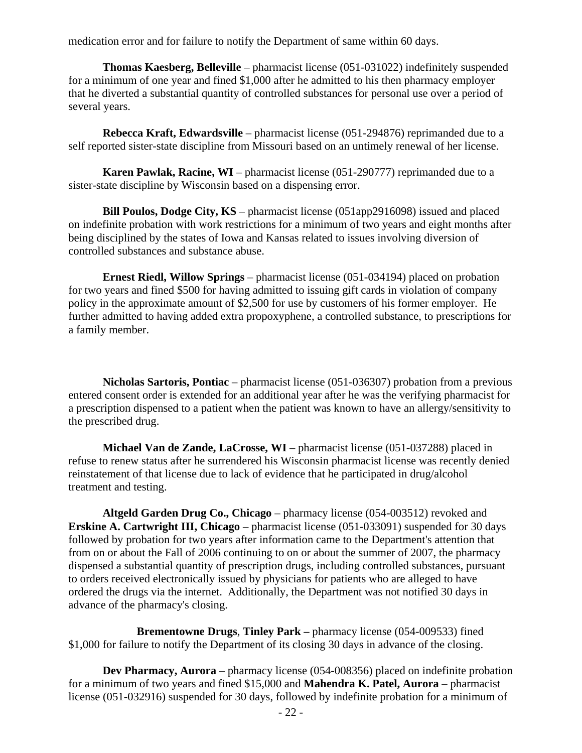medication error and for failure to notify the Department of same within 60 days.

 **Thomas Kaesberg, Belleville** – pharmacist license (051-031022) indefinitely suspended for a minimum of one year and fined \$1,000 after he admitted to his then pharmacy employer that he diverted a substantial quantity of controlled substances for personal use over a period of several years.

 **Rebecca Kraft, Edwardsville** – pharmacist license (051-294876) reprimanded due to a self reported sister-state discipline from Missouri based on an untimely renewal of her license.

**Karen Pawlak, Racine, WI** – pharmacist license (051-290777) reprimanded due to a sister-state discipline by Wisconsin based on a dispensing error.

 **Bill Poulos, Dodge City, KS** – pharmacist license (051app2916098) issued and placed on indefinite probation with work restrictions for a minimum of two years and eight months after being disciplined by the states of Iowa and Kansas related to issues involving diversion of controlled substances and substance abuse.

 **Ernest Riedl, Willow Springs** – pharmacist license (051-034194) placed on probation for two years and fined \$500 for having admitted to issuing gift cards in violation of company policy in the approximate amount of \$2,500 for use by customers of his former employer. He further admitted to having added extra propoxyphene, a controlled substance, to prescriptions for a family member.

 **Nicholas Sartoris, Pontiac** – pharmacist license (051-036307) probation from a previous entered consent order is extended for an additional year after he was the verifying pharmacist for a prescription dispensed to a patient when the patient was known to have an allergy/sensitivity to the prescribed drug.

 **Michael Van de Zande, LaCrosse, WI** – pharmacist license (051-037288) placed in refuse to renew status after he surrendered his Wisconsin pharmacist license was recently denied reinstatement of that license due to lack of evidence that he participated in drug/alcohol treatment and testing.

 **Altgeld Garden Drug Co., Chicago** – pharmacy license (054-003512) revoked and **Erskine A. Cartwright III, Chicago** – pharmacist license (051-033091) suspended for 30 days followed by probation for two years after information came to the Department's attention that from on or about the Fall of 2006 continuing to on or about the summer of 2007, the pharmacy dispensed a substantial quantity of prescription drugs, including controlled substances, pursuant to orders received electronically issued by physicians for patients who are alleged to have ordered the drugs via the internet. Additionally, the Department was not notified 30 days in advance of the pharmacy's closing.

 **Brementowne Drugs**, **Tinley Park –** pharmacy license (054-009533) fined \$1,000 for failure to notify the Department of its closing 30 days in advance of the closing.

 **Dev Pharmacy, Aurora** – pharmacy license (054-008356) placed on indefinite probation for a minimum of two years and fined \$15,000 and **Mahendra K. Patel, Aurora** – pharmacist license (051-032916) suspended for 30 days, followed by indefinite probation for a minimum of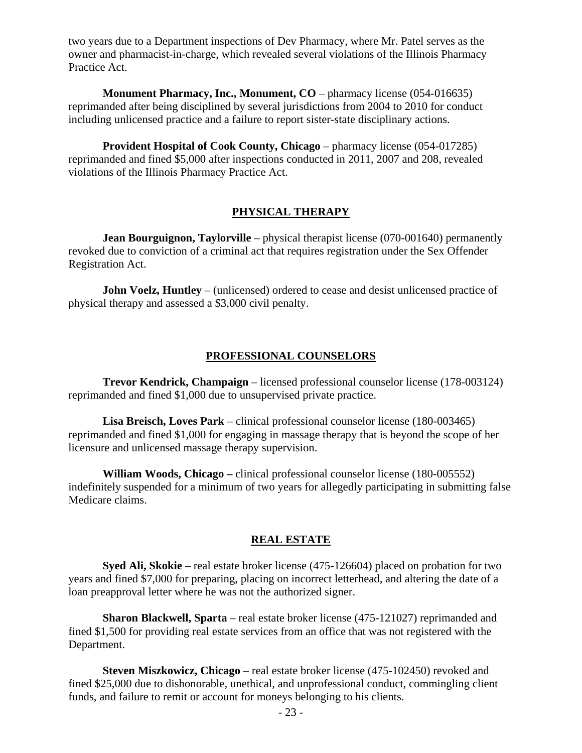two years due to a Department inspections of Dev Pharmacy, where Mr. Patel serves as the owner and pharmacist-in-charge, which revealed several violations of the Illinois Pharmacy Practice Act.

**Monument Pharmacy, Inc., Monument, CO** – pharmacy license (054-016635) reprimanded after being disciplined by several jurisdictions from 2004 to 2010 for conduct including unlicensed practice and a failure to report sister-state disciplinary actions.

 **Provident Hospital of Cook County, Chicago** – pharmacy license (054-017285) reprimanded and fined \$5,000 after inspections conducted in 2011, 2007 and 208, revealed violations of the Illinois Pharmacy Practice Act.

#### **PHYSICAL THERAPY**

**Jean Bourguignon, Taylorville** – physical therapist license (070-001640) permanently revoked due to conviction of a criminal act that requires registration under the Sex Offender Registration Act.

**John Voelz, Huntley** – (unlicensed) ordered to cease and desist unlicensed practice of physical therapy and assessed a \$3,000 civil penalty.

#### **PROFESSIONAL COUNSELORS**

 **Trevor Kendrick, Champaign** – licensed professional counselor license (178-003124) reprimanded and fined \$1,000 due to unsupervised private practice.

 **Lisa Breisch, Loves Park** – clinical professional counselor license (180-003465) reprimanded and fined \$1,000 for engaging in massage therapy that is beyond the scope of her licensure and unlicensed massage therapy supervision.

 **William Woods, Chicago –** clinical professional counselor license (180-005552) indefinitely suspended for a minimum of two years for allegedly participating in submitting false Medicare claims.

#### **REAL ESTATE**

 **Syed Ali, Skokie** – real estate broker license (475-126604) placed on probation for two years and fined \$7,000 for preparing, placing on incorrect letterhead, and altering the date of a loan preapproval letter where he was not the authorized signer.

 **Sharon Blackwell, Sparta** – real estate broker license (475-121027) reprimanded and fined \$1,500 for providing real estate services from an office that was not registered with the Department.

**Steven Miszkowicz, Chicago** – real estate broker license (475-102450) revoked and fined \$25,000 due to dishonorable, unethical, and unprofessional conduct, commingling client funds, and failure to remit or account for moneys belonging to his clients.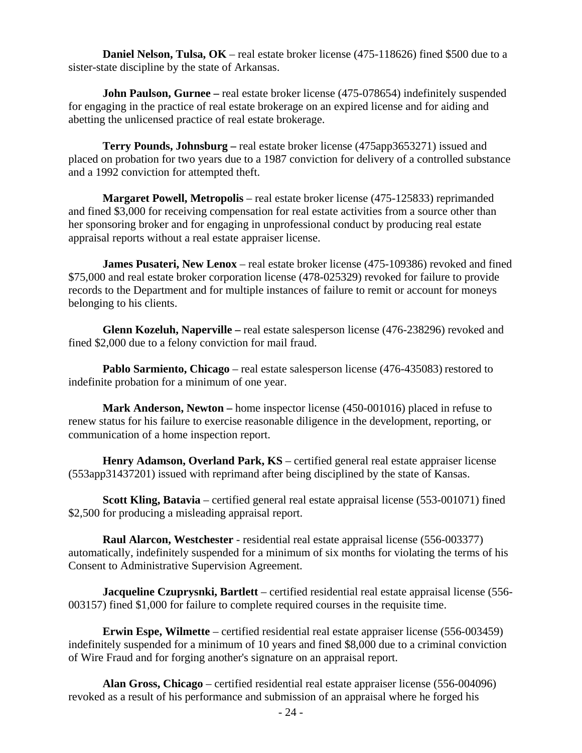**Daniel Nelson, Tulsa, OK** – real estate broker license (475-118626) fined \$500 due to a sister-state discipline by the state of Arkansas.

**John Paulson, Gurnee** – real estate broker license (475-078654) indefinitely suspended for engaging in the practice of real estate brokerage on an expired license and for aiding and abetting the unlicensed practice of real estate brokerage.

 **Terry Pounds, Johnsburg –** real estate broker license (475app3653271) issued and placed on probation for two years due to a 1987 conviction for delivery of a controlled substance and a 1992 conviction for attempted theft.

**Margaret Powell, Metropolis** – real estate broker license (475-125833) reprimanded and fined \$3,000 for receiving compensation for real estate activities from a source other than her sponsoring broker and for engaging in unprofessional conduct by producing real estate appraisal reports without a real estate appraiser license.

**James Pusateri, New Lenox** – real estate broker license (475-109386) revoked and fined \$75,000 and real estate broker corporation license (478-025329) revoked for failure to provide records to the Department and for multiple instances of failure to remit or account for moneys belonging to his clients.

 **Glenn Kozeluh, Naperville –** real estate salesperson license (476-238296) revoked and fined \$2,000 due to a felony conviction for mail fraud.

**Pablo Sarmiento, Chicago** – real estate salesperson license (476-435083) restored to indefinite probation for a minimum of one year.

 **Mark Anderson, Newton –** home inspector license (450-001016) placed in refuse to renew status for his failure to exercise reasonable diligence in the development, reporting, or communication of a home inspection report.

 **Henry Adamson, Overland Park, KS** – certified general real estate appraiser license (553app31437201) issued with reprimand after being disciplined by the state of Kansas.

 **Scott Kling, Batavia** – certified general real estate appraisal license (553-001071) fined \$2,500 for producing a misleading appraisal report.

 **Raul Alarcon, Westchester** - residential real estate appraisal license (556-003377) automatically, indefinitely suspended for a minimum of six months for violating the terms of his Consent to Administrative Supervision Agreement.

 **Jacqueline Czuprysnki, Bartlett** – certified residential real estate appraisal license (556- 003157) fined \$1,000 for failure to complete required courses in the requisite time.

 **Erwin Espe, Wilmette** – certified residential real estate appraiser license (556-003459) indefinitely suspended for a minimum of 10 years and fined \$8,000 due to a criminal conviction of Wire Fraud and for forging another's signature on an appraisal report.

 **Alan Gross, Chicago** – certified residential real estate appraiser license (556-004096) revoked as a result of his performance and submission of an appraisal where he forged his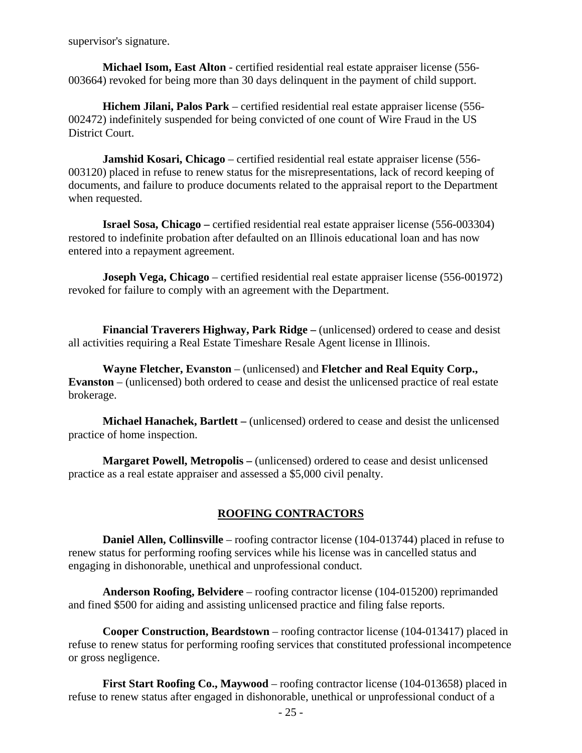supervisor's signature.

 **Michael Isom, East Alton** - certified residential real estate appraiser license (556- 003664) revoked for being more than 30 days delinquent in the payment of child support.

 **Hichem Jilani, Palos Park** – certified residential real estate appraiser license (556- 002472) indefinitely suspended for being convicted of one count of Wire Fraud in the US District Court.

 **Jamshid Kosari, Chicago** – certified residential real estate appraiser license (556- 003120) placed in refuse to renew status for the misrepresentations, lack of record keeping of documents, and failure to produce documents related to the appraisal report to the Department when requested.

 **Israel Sosa, Chicago –** certified residential real estate appraiser license (556-003304) restored to indefinite probation after defaulted on an Illinois educational loan and has now entered into a repayment agreement.

**Joseph Vega, Chicago** – certified residential real estate appraiser license (556-001972) revoked for failure to comply with an agreement with the Department.

 **Financial Traverers Highway, Park Ridge –** (unlicensed) ordered to cease and desist all activities requiring a Real Estate Timeshare Resale Agent license in Illinois.

 **Wayne Fletcher, Evanston** – (unlicensed) and **Fletcher and Real Equity Corp., Evanston** – (unlicensed) both ordered to cease and desist the unlicensed practice of real estate brokerage.

 **Michael Hanachek, Bartlett –** (unlicensed) ordered to cease and desist the unlicensed practice of home inspection.

 **Margaret Powell, Metropolis –** (unlicensed) ordered to cease and desist unlicensed practice as a real estate appraiser and assessed a \$5,000 civil penalty.

#### **ROOFING CONTRACTORS**

**Daniel Allen, Collinsville** – roofing contractor license (104-013744) placed in refuse to renew status for performing roofing services while his license was in cancelled status and engaging in dishonorable, unethical and unprofessional conduct.

 **Anderson Roofing, Belvidere** – roofing contractor license (104-015200) reprimanded and fined \$500 for aiding and assisting unlicensed practice and filing false reports.

 **Cooper Construction, Beardstown** – roofing contractor license (104-013417) placed in refuse to renew status for performing roofing services that constituted professional incompetence or gross negligence.

 **First Start Roofing Co., Maywood** – roofing contractor license (104-013658) placed in refuse to renew status after engaged in dishonorable, unethical or unprofessional conduct of a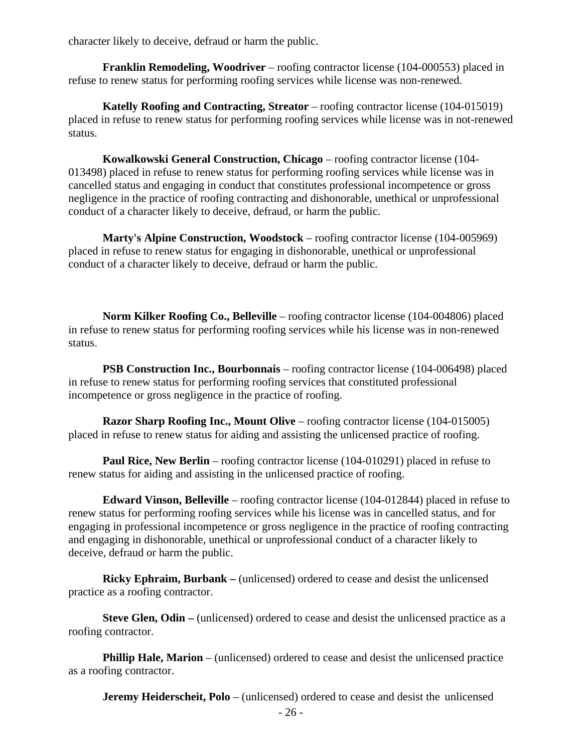character likely to deceive, defraud or harm the public.

 **Franklin Remodeling, Woodriver** – roofing contractor license (104-000553) placed in refuse to renew status for performing roofing services while license was non-renewed.

 **Katelly Roofing and Contracting, Streator** – roofing contractor license (104-015019) placed in refuse to renew status for performing roofing services while license was in not-renewed status.

 **Kowalkowski General Construction, Chicago** – roofing contractor license (104- 013498) placed in refuse to renew status for performing roofing services while license was in cancelled status and engaging in conduct that constitutes professional incompetence or gross negligence in the practice of roofing contracting and dishonorable, unethical or unprofessional conduct of a character likely to deceive, defraud, or harm the public.

 **Marty's Alpine Construction, Woodstock** – roofing contractor license (104-005969) placed in refuse to renew status for engaging in dishonorable, unethical or unprofessional conduct of a character likely to deceive, defraud or harm the public.

 **Norm Kilker Roofing Co., Belleville** – roofing contractor license (104-004806) placed in refuse to renew status for performing roofing services while his license was in non-renewed status.

 **PSB Construction Inc., Bourbonnais** – roofing contractor license (104-006498) placed in refuse to renew status for performing roofing services that constituted professional incompetence or gross negligence in the practice of roofing.

**Razor Sharp Roofing Inc., Mount Olive** – roofing contractor license (104-015005) placed in refuse to renew status for aiding and assisting the unlicensed practice of roofing.

**Paul Rice, New Berlin** – roofing contractor license (104-010291) placed in refuse to renew status for aiding and assisting in the unlicensed practice of roofing.

 **Edward Vinson, Belleville** – roofing contractor license (104-012844) placed in refuse to renew status for performing roofing services while his license was in cancelled status, and for engaging in professional incompetence or gross negligence in the practice of roofing contracting and engaging in dishonorable, unethical or unprofessional conduct of a character likely to deceive, defraud or harm the public.

 **Ricky Ephraim, Burbank –** (unlicensed) ordered to cease and desist the unlicensed practice as a roofing contractor.

**Steve Glen, Odin** – (unlicensed) ordered to cease and desist the unlicensed practice as a roofing contractor.

**Phillip Hale, Marion** – (unlicensed) ordered to cease and desist the unlicensed practice as a roofing contractor.

**Jeremy Heiderscheit, Polo** – (unlicensed) ordered to cease and desist the unlicensed